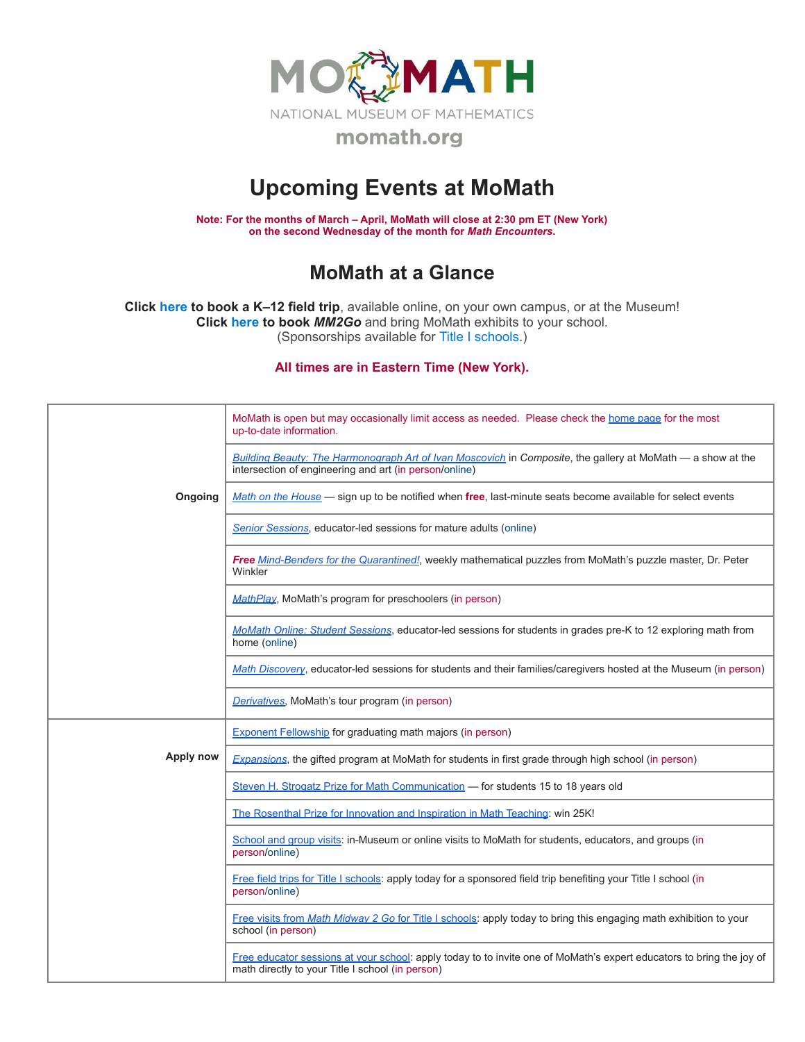

## **Upcoming Events at MoMath**

**Note: For the months of March – April, MoMath will close at 2:30 pm ET (New York) on the second Wednesday of the month for** *Math [Encounters](http://mathencounters.org/)***.**

## **MoMath at a Glance**

**Click [here](http://fieldtrips.momath.org/) to book a K–12 field trip**, available online, on your own campus, or at the Museum! **Click [here](http://mm2go.momath.org/) to book** *MM2Go* and bring MoMath exhibits to your school. (Sponsorships available for Title I [schools.](http://titleone.momath.org/))

**All times are in Eastern Time (New York).**

|           | MoMath is open but may occasionally limit access as needed. Please check the home page for the most<br>up-to-date information.                                           |
|-----------|--------------------------------------------------------------------------------------------------------------------------------------------------------------------------|
|           | Building Beauty: The Harmonograph Art of Ivan Moscovich in Composite, the gallery at MoMath — a show at the<br>intersection of engineering and art (in person/online)    |
| Ongoing   | Math on the House — sign up to be notified when free, last-minute seats become available for select events                                                               |
|           | Senior Sessions, educator-led sessions for mature adults (online)                                                                                                        |
|           | Free Mind-Benders for the Quarantined!, weekly mathematical puzzles from MoMath's puzzle master, Dr. Peter<br>Winkler                                                    |
|           | MathPlay, MoMath's program for preschoolers (in person)                                                                                                                  |
|           | MoMath Online: Student Sessions, educator-led sessions for students in grades pre-K to 12 exploring math from<br>home (online)                                           |
|           | Math Discovery, educator-led sessions for students and their families/caregivers hosted at the Museum (in person)                                                        |
|           | Derivatives, MoMath's tour program (in person)                                                                                                                           |
|           | <b>Exponent Fellowship</b> for graduating math majors (in person)                                                                                                        |
| Apply now | Expansions, the gifted program at MoMath for students in first grade through high school (in person)                                                                     |
|           | Steven H. Strogatz Prize for Math Communication - for students 15 to 18 years old                                                                                        |
|           | The Rosenthal Prize for Innovation and Inspiration in Math Teaching: win 25K!                                                                                            |
|           | School and group visits: in-Museum or online visits to MoMath for students, educators, and groups (in<br>person/online)                                                  |
|           | Free field trips for Title I schools: apply today for a sponsored field trip benefiting your Title I school (in<br>person/online)                                        |
|           | Free visits from Math Midway 2 Go for Title I schools: apply today to bring this engaging math exhibition to your<br>school (in person)                                  |
|           | Free educator sessions at your school: apply today to to invite one of MoMath's expert educators to bring the joy of<br>math directly to your Title I school (in person) |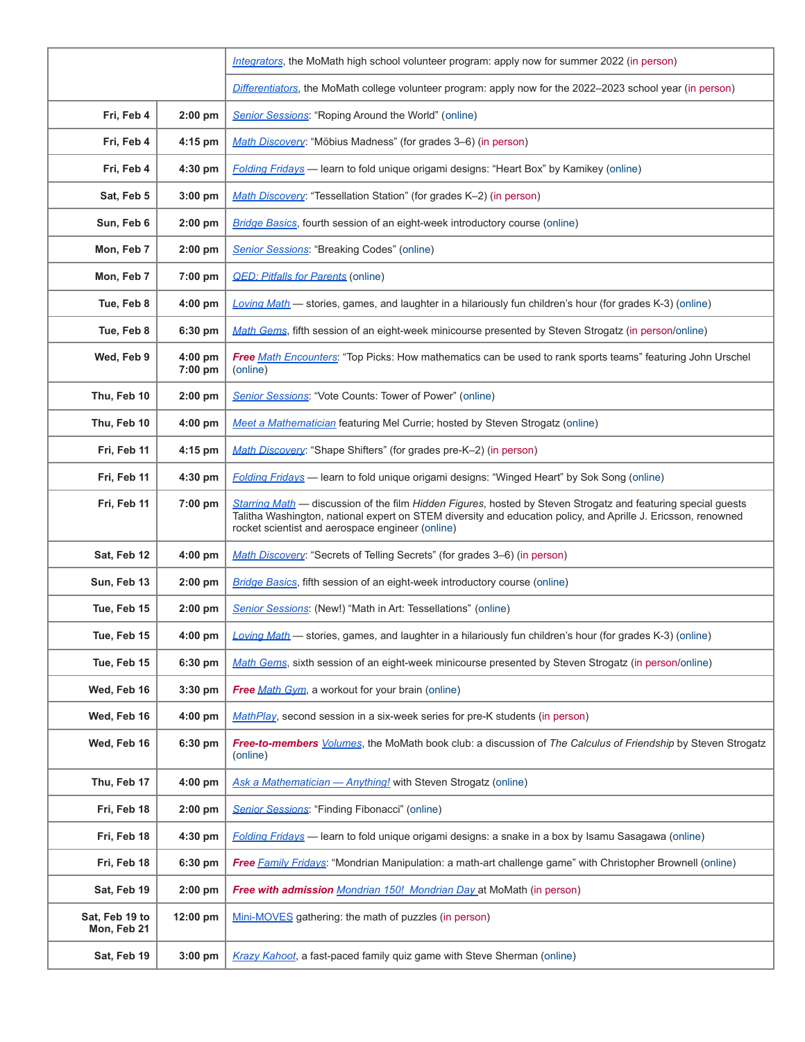|                               |                        | Integrators, the MoMath high school volunteer program: apply now for summer 2022 (in person)                                                                                                                                                                                       |
|-------------------------------|------------------------|------------------------------------------------------------------------------------------------------------------------------------------------------------------------------------------------------------------------------------------------------------------------------------|
|                               |                        | Differentiators, the MoMath college volunteer program: apply now for the 2022-2023 school year (in person)                                                                                                                                                                         |
| Fri. Feb 4                    | $2:00$ pm              | Senior Sessions: "Roping Around the World" (online)                                                                                                                                                                                                                                |
| Fri, Feb 4                    | $4:15$ pm              | Math Discovery: "Möbius Madness" (for grades 3-6) (in person)                                                                                                                                                                                                                      |
| Fri, Feb 4                    | 4:30 pm                | Folding Fridays - learn to fold unique origami designs: "Heart Box" by Kamikey (online)                                                                                                                                                                                            |
| Sat, Feb 5                    | $3:00$ pm              | Math Discovery: "Tessellation Station" (for grades K-2) (in person)                                                                                                                                                                                                                |
| Sun, Feb 6                    | $2:00$ pm              | Bridge Basics, fourth session of an eight-week introductory course (online)                                                                                                                                                                                                        |
| Mon, Feb 7                    | 2:00 pm                | Senior Sessions: "Breaking Codes" (online)                                                                                                                                                                                                                                         |
| Mon, Feb 7                    | $7:00$ pm              | <b>QED: Pitfalls for Parents (online)</b>                                                                                                                                                                                                                                          |
| Tue, Feb 8                    | $4:00$ pm              | Loving Math — stories, games, and laughter in a hilariously fun children's hour (for grades K-3) (online)                                                                                                                                                                          |
| Tue, Feb 8                    | 6:30 pm                | Math Gems, fifth session of an eight-week minicourse presented by Steven Strogatz (in person/online)                                                                                                                                                                               |
| Wed, Feb 9                    | $4:00$ pm<br>$7:00$ pm | Free Math Encounters: "Top Picks: How mathematics can be used to rank sports teams" featuring John Urschel<br>(online)                                                                                                                                                             |
| Thu, Feb 10                   | $2:00$ pm              | Senior Sessions: "Vote Counts: Tower of Power" (online)                                                                                                                                                                                                                            |
| Thu, Feb 10                   | 4:00 pm                | Meet a Mathematician featuring Mel Currie; hosted by Steven Strogatz (online)                                                                                                                                                                                                      |
| Fri, Feb 11                   | 4:15 pm                | Math Discovery: "Shape Shifters" (for grades pre-K-2) (in person)                                                                                                                                                                                                                  |
| Fri, Feb 11                   | 4:30 pm                | <b>Folding Fridays</b> — learn to fold unique origami designs: "Winged Heart" by Sok Song (online)                                                                                                                                                                                 |
| Fri, Feb 11                   | 7:00 pm                | Starring Math — discussion of the film Hidden Figures, hosted by Steven Strogatz and featuring special guests<br>Talitha Washington, national expert on STEM diversity and education policy, and Aprille J. Ericsson, renowned<br>rocket scientist and aerospace engineer (online) |
| Sat, Feb 12                   | $4:00$ pm              | Math Discovery: "Secrets of Telling Secrets" (for grades 3–6) (in person)                                                                                                                                                                                                          |
| Sun, Feb 13                   | 2:00 pm                | <b>Bridge Basics</b> , fifth session of an eight-week introductory course (online)                                                                                                                                                                                                 |
| Tue, Feb 15                   | $2:00$ pm              | Senior Sessions: (New!) "Math in Art: Tessellations" (online)                                                                                                                                                                                                                      |
| Tue, Feb 15                   | 4:00 pm $ $            | Loving Math - stories, games, and laughter in a hilariously fun children's hour (for grades K-3) (online)                                                                                                                                                                          |
| Tue, Feb 15                   | 6:30 pm                | Math Gems, sixth session of an eight-week minicourse presented by Steven Strogatz (in person/online)                                                                                                                                                                               |
| Wed, Feb 16                   | 3:30 pm                | <b>Free Math Gym.</b> a workout for your brain (online)                                                                                                                                                                                                                            |
| Wed, Feb 16                   | $4:00$ pm              | MathPlay, second session in a six-week series for pre-K students (in person)                                                                                                                                                                                                       |
| Wed, Feb 16                   | 6:30 pm                | Free-to-members <i>Volumes</i> , the MoMath book club: a discussion of The Calculus of Friendship by Steven Strogatz<br>(online)                                                                                                                                                   |
| Thu, Feb 17                   | 4:00 pm                | Ask a Mathematician - Anything! with Steven Strogatz (online)                                                                                                                                                                                                                      |
| Fri, Feb 18                   | 2:00 pm                | Senior Sessions: "Finding Fibonacci" (online)                                                                                                                                                                                                                                      |
| Fri, Feb 18                   | 4:30 pm                | Folding Fridays - learn to fold unique origami designs: a snake in a box by Isamu Sasagawa (online)                                                                                                                                                                                |
| Fri, Feb 18                   | 6:30 pm                | Free Family Fridays: "Mondrian Manipulation: a math-art challenge game" with Christopher Brownell (online)                                                                                                                                                                         |
| Sat, Feb 19                   | 2:00 pm                | Free with admission Mondrian 150! Mondrian Day at MoMath (in person)                                                                                                                                                                                                               |
| Sat, Feb 19 to<br>Mon, Feb 21 | 12:00 pm               | Mini-MOVES gathering: the math of puzzles (in person)                                                                                                                                                                                                                              |
| Sat, Feb 19                   | 3:00 pm                | Krazy Kahoot, a fast-paced family quiz game with Steve Sherman (online)                                                                                                                                                                                                            |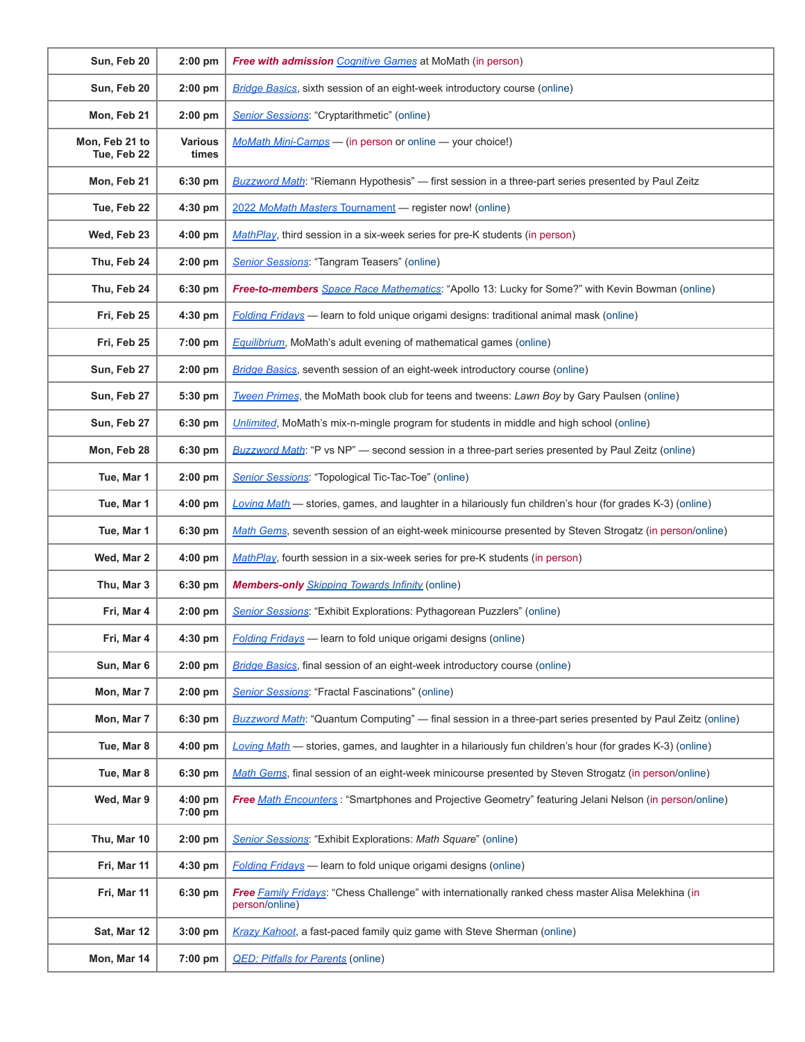| Sun, Feb 20                   | $2:00$ pm               | <b>Free with admission</b> Cognitive Games at MoMath (in person)                                                      |
|-------------------------------|-------------------------|-----------------------------------------------------------------------------------------------------------------------|
| Sun, Feb 20                   | $2:00$ pm               | <b>Bridge Basics</b> , sixth session of an eight-week introductory course (online)                                    |
| Mon, Feb 21                   | $2:00$ pm               | Senior Sessions: "Cryptarithmetic" (online)                                                                           |
| Mon, Feb 21 to<br>Tue, Feb 22 | <b>Various</b><br>times | MoMath Mini-Camps - (in person or online - your choice!)                                                              |
| Mon, Feb 21                   | 6:30 pm                 | <b>Buzzword Math:</b> "Riemann Hypothesis" — first session in a three-part series presented by Paul Zeitz             |
| Tue, Feb 22                   | $4:30$ pm               | 2022 MoMath Masters Tournament - register now! (online)                                                               |
| Wed, Feb 23                   | 4:00 pm                 | MathPlay, third session in a six-week series for pre-K students (in person)                                           |
| Thu, Feb 24                   | $2:00$ pm               | Senior Sessions: "Tangram Teasers" (online)                                                                           |
| Thu, Feb 24                   | $6:30$ pm               | Free-to-members Space Race Mathematics: "Apollo 13: Lucky for Some?" with Kevin Bowman (online)                       |
| Fri, Feb 25                   | 4:30 pm                 | Folding Fridays - learn to fold unique origami designs: traditional animal mask (online)                              |
| Fri, Feb 25                   | 7:00 pm                 | <b>Equilibrium</b> , MoMath's adult evening of mathematical games (online)                                            |
| Sun, Feb 27                   | 2:00 pm                 | <b>Bridge Basics</b> , seventh session of an eight-week introductory course (online)                                  |
| Sun, Feb 27                   | 5:30 pm                 | Tween Primes, the MoMath book club for teens and tweens: Lawn Boy by Gary Paulsen (online)                            |
| Sun, Feb 27                   | 6:30 pm                 | Unlimited, MoMath's mix-n-mingle program for students in middle and high school (online)                              |
| Mon, Feb 28                   | 6:30 pm                 | Buzzword Math: "P vs NP" - second session in a three-part series presented by Paul Zeitz (online)                     |
| Tue, Mar 1                    | $2:00$ pm               | Senior Sessions: "Topological Tic-Tac-Toe" (online)                                                                   |
| Tue, Mar 1                    | 4:00 pm                 | Loving Math - stories, games, and laughter in a hilariously fun children's hour (for grades K-3) (online)             |
| Tue, Mar 1                    | 6:30 pm                 | Math Gems, seventh session of an eight-week minicourse presented by Steven Strogatz (in person/online)                |
| Wed, Mar 2                    | $4:00$ pm               | MathPlay, fourth session in a six-week series for pre-K students (in person)                                          |
| Thu, Mar 3                    | 6:30 pm                 | <b>Members-only</b> <i>Skipping Towards Infinity</i> (online)                                                         |
| Fri, Mar 4                    | $2:00$ pm               | Senior Sessions: "Exhibit Explorations: Pythagorean Puzzlers" (online)                                                |
| Fri, Mar 4                    | 4:30 pm                 | <b>Folding Fridays</b> - learn to fold unique origami designs (online)                                                |
| Sun, Mar 6                    | $2:00$ pm               | <b>Bridge Basics</b> , final session of an eight-week introductory course (online)                                    |
| Mon, Mar 7                    | $2:00$ pm               | <b>Senior Sessions: "Fractal Fascinations" (online)</b>                                                               |
| Mon, Mar 7                    | 6:30 pm                 | Buzzword Math: "Quantum Computing" — final session in a three-part series presented by Paul Zeitz (online)            |
| Tue, Mar 8                    | 4:00 pm                 | Loving Math - stories, games, and laughter in a hilariously fun children's hour (for grades K-3) (online)             |
| Tue, Mar 8                    | 6:30 pm                 | Math Gems, final session of an eight-week minicourse presented by Steven Strogatz (in person/online)                  |
| Wed, Mar 9                    | $4:00$ pm<br>7:00 pm    | Free Math Encounters: "Smartphones and Projective Geometry" featuring Jelani Nelson (in person/online)                |
| Thu, Mar 10                   | $2:00$ pm               | Senior Sessions: "Exhibit Explorations: Math Square" (online)                                                         |
| Fri, Mar 11                   | $4:30$ pm               | <b>Folding Fridays</b> — learn to fold unique origami designs (online)                                                |
| Fri, Mar 11                   | 6:30 pm                 | Free Family Fridays: "Chess Challenge" with internationally ranked chess master Alisa Melekhina (in<br>person/online) |
| Sat, Mar 12                   | $3:00$ pm               | Krazy Kahoot, a fast-paced family quiz game with Steve Sherman (online)                                               |
| Mon, Mar 14                   | 7:00 pm                 | <b>QED: Pitfalls for Parents (online)</b>                                                                             |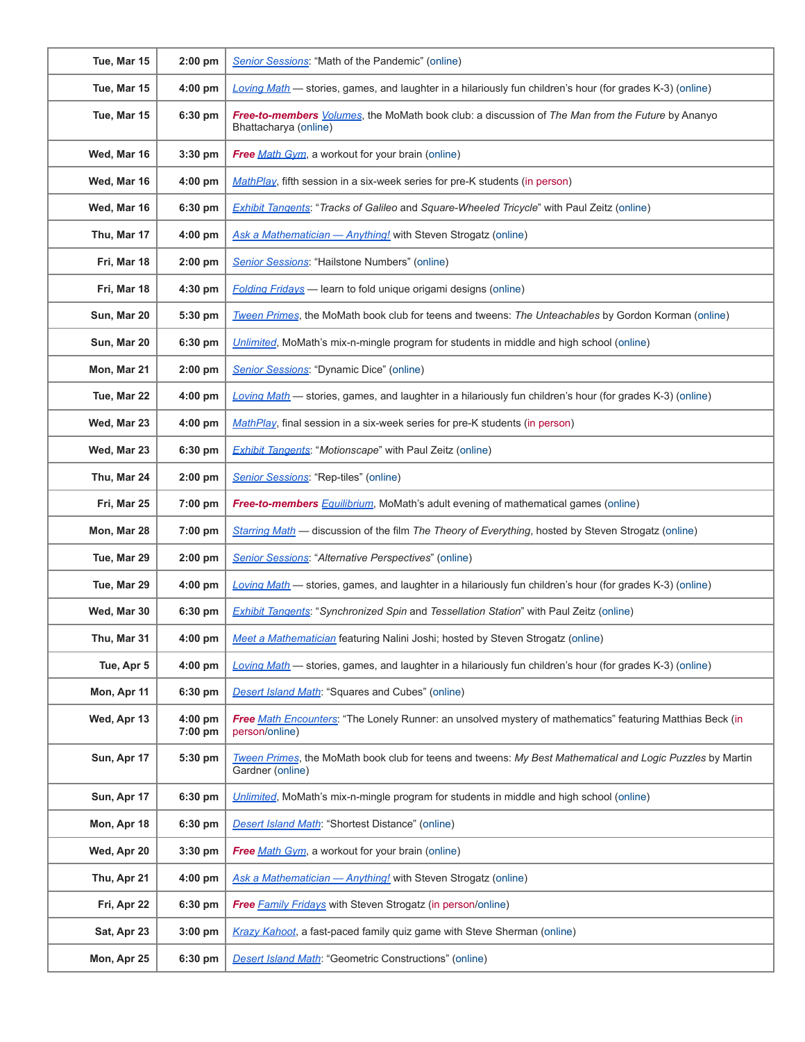| Tue, Mar 15 | $2:00$ pm            | Senior Sessions: "Math of the Pandemic" (online)                                                                                  |
|-------------|----------------------|-----------------------------------------------------------------------------------------------------------------------------------|
| Tue, Mar 15 | 4:00 pm              | Loving Math - stories, games, and laughter in a hilariously fun children's hour (for grades K-3) (online)                         |
| Tue, Mar 15 | 6:30 pm              | Free-to-members <i>Volumes</i> , the MoMath book club: a discussion of The Man from the Future by Ananyo<br>Bhattacharya (online) |
| Wed, Mar 16 | $3:30$ pm            | Free Math Gym, a workout for your brain (online)                                                                                  |
| Wed, Mar 16 | 4:00 pm              | MathPlay, fifth session in a six-week series for pre-K students (in person)                                                       |
| Wed, Mar 16 | 6:30 pm              | <b>Exhibit Tangents: "Tracks of Galileo and Square-Wheeled Tricycle" with Paul Zeitz (online)</b>                                 |
| Thu, Mar 17 | 4:00 pm              | Ask a Mathematician - Anything! with Steven Strogatz (online)                                                                     |
| Fri, Mar 18 | $2:00$ pm            | Senior Sessions: "Hailstone Numbers" (online)                                                                                     |
| Fri, Mar 18 | 4:30 pm              | Folding Fridays - learn to fold unique origami designs (online)                                                                   |
| Sun, Mar 20 | 5:30 pm              | Tween Primes, the MoMath book club for teens and tweens: The Unteachables by Gordon Korman (online)                               |
| Sun, Mar 20 | 6:30 pm              | Unlimited, MoMath's mix-n-mingle program for students in middle and high school (online)                                          |
| Mon, Mar 21 | $2:00$ pm            | Senior Sessions: "Dynamic Dice" (online)                                                                                          |
| Tue, Mar 22 | $4:00$ pm            | Loving Math - stories, games, and laughter in a hilariously fun children's hour (for grades K-3) (online)                         |
| Wed, Mar 23 | 4:00 pm              | MathPlay, final session in a six-week series for pre-K students (in person)                                                       |
| Wed, Mar 23 | 6:30 pm              | <b>Exhibit Tangents: "Motionscape" with Paul Zeitz (online)</b>                                                                   |
| Thu, Mar 24 | $2:00$ pm            | Senior Sessions: "Rep-tiles" (online)                                                                                             |
| Fri, Mar 25 | 7:00 pm              | Free-to-members Equilibrium, MoMath's adult evening of mathematical games (online)                                                |
| Mon, Mar 28 | 7:00 pm              | Starring Math - discussion of the film The Theory of Everything, hosted by Steven Strogatz (online)                               |
| Tue, Mar 29 | $2:00$ pm            | <b>Senior Sessions: "Alternative Perspectives" (online)</b>                                                                       |
| Tue, Mar 29 | $4:00$ pm            | Loving Math - stories, games, and laughter in a hilariously fun children's hour (for grades K-3) (online)                         |
| Wed, Mar 30 | 6:30 pm              | Exhibit Tangents: "Synchronized Spin and Tessellation Station" with Paul Zeitz (online)                                           |
| Thu, Mar 31 | 4:00 pm              | Meet a Mathematician featuring Nalini Joshi; hosted by Steven Strogatz (online)                                                   |
| Tue, Apr 5  | 4:00 pm              | Loving Math - stories, games, and laughter in a hilariously fun children's hour (for grades K-3) (online)                         |
| Mon, Apr 11 | 6:30 pm              | <b>Desert Island Math: "Squares and Cubes" (online)</b>                                                                           |
| Wed, Apr 13 | $4:00$ pm<br>7:00 pm | Free Math Encounters: "The Lonely Runner: an unsolved mystery of mathematics" featuring Matthias Beck (in<br>person/online)       |
| Sun, Apr 17 | 5:30 pm              | Tween Primes, the MoMath book club for teens and tweens: My Best Mathematical and Logic Puzzles by Martin<br>Gardner (online)     |
| Sun, Apr 17 | 6:30 pm              | Unlimited, MoMath's mix-n-mingle program for students in middle and high school (online)                                          |
| Mon, Apr 18 | 6:30 pm              | Desert Island Math: "Shortest Distance" (online)                                                                                  |
| Wed, Apr 20 | $3:30$ pm            | Free Math Gym, a workout for your brain (online)                                                                                  |
| Thu, Apr 21 | 4:00 pm              | Ask a Mathematician - Anything! with Steven Strogatz (online)                                                                     |
| Fri, Apr 22 | 6:30 pm              | <b>Free Family Fridays with Steven Strogatz (in person/online)</b>                                                                |
| Sat, Apr 23 | 3:00 pm              | Krazy Kahoot, a fast-paced family quiz game with Steve Sherman (online)                                                           |
| Mon, Apr 25 | 6:30 pm              | <b>Desert Island Math: "Geometric Constructions" (online)</b>                                                                     |